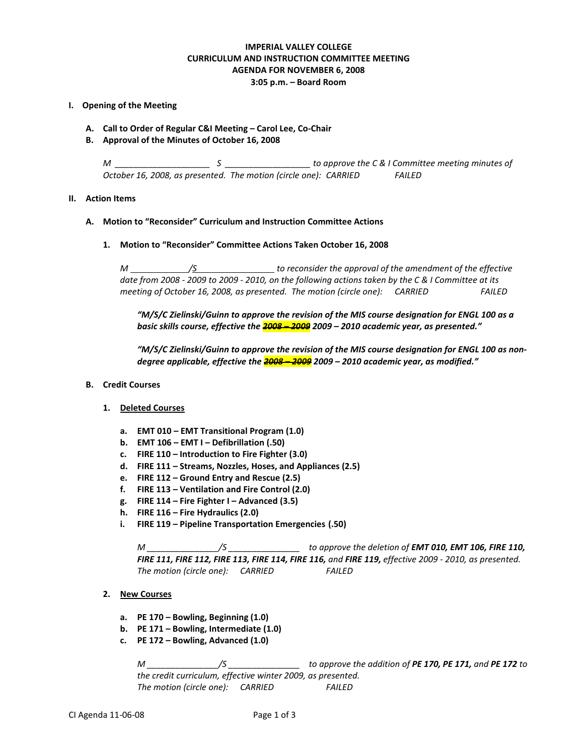## **IMPERIAL VALLEY COLLEGE CURRICULUM AND INSTRUCTION COMMITTEE MEETING AGENDA FOR NOVEMBER 6, 2008 3:05 p.m. – Board Room**

#### **I. Opening of the Meeting**

- **A. Call to Order of Regular C&I Meeting – Carol Lee, Co-Chair**
- **B. Approval of the Minutes of October 16, 2008**

*M \_\_\_\_\_\_\_\_\_\_\_\_\_\_\_\_\_\_\_\_ S \_\_\_\_\_\_\_\_\_\_\_\_\_\_\_\_\_\_ to approve the C & I Committee meeting minutes of October 16, 2008, as presented. The motion (circle one): CARRIED FAILED*

#### **II. Action Items**

#### **A. Motion to "Reconsider" Curriculum and Instruction Committee Actions**

**1. Motion to "Reconsider" Committee Actions Taken October 16, 2008**

*M /S to reconsider the approval of the amendment of the effective date from 2008 - 2009 to 2009 - 2010, on the following actions taken by the C & I Committee at its meeting of October 16, 2008, as presented. The motion (circle one): CARRIED FAILED*

*"M/S/C Zielinski/Guinn to approve the revision of the MIS course designation for ENGL 100 as a basic skills course, effective the 2008 – 2009 2009 – 2010 academic year, as presented."*

*"M/S/C Zielinski/Guinn to approve the revision of the MIS course designation for ENGL 100 as nondegree applicable, effective the 2008 – 2009 2009 – 2010 academic year, as modified."*

**B. Credit Courses**

#### **1. Deleted Courses**

- **a. EMT 010 – EMT Transitional Program (1.0)**
- **b. EMT 106 – EMT I – Defibrillation (.50)**
- **c. FIRE 110 – Introduction to Fire Fighter (3.0)**
- **d. FIRE 111 – Streams, Nozzles, Hoses, and Appliances (2.5)**
- **e. FIRE 112 – Ground Entry and Rescue (2.5)**
- **f. FIRE 113 – Ventilation and Fire Control (2.0)**
- **g. FIRE 114 – Fire Fighter I – Advanced (3.5)**
- **h. FIRE 116 – Fire Hydraulics (2.0)**
- **i. FIRE 119 – Pipeline Transportation Emergencies (.50)**

*M \_\_\_\_\_\_\_\_\_\_\_\_\_\_\_/S \_\_\_\_\_\_\_\_\_\_\_\_\_\_\_ to approve the deletion of EMT 010, EMT 106, FIRE 110, FIRE 111, FIRE 112, FIRE 113, FIRE 114, FIRE 116, and FIRE 119, effective 2009 - 2010, as presented. The motion (circle one): CARRIED FAILED*

- **2. New Courses**
	- **a. PE 170 – Bowling, Beginning (1.0)**
	- **b. PE 171 – Bowling, Intermediate (1.0)**
	- **c. PE 172 – Bowling, Advanced (1.0)**

*M \_\_\_\_\_\_\_\_\_\_\_\_\_\_\_/S \_\_\_\_\_\_\_\_\_\_\_\_\_\_\_ to approve the addition of PE 170, PE 171, and PE 172 to the credit curriculum, effective winter 2009, as presented. The motion (circle one): CARRIED FAILED*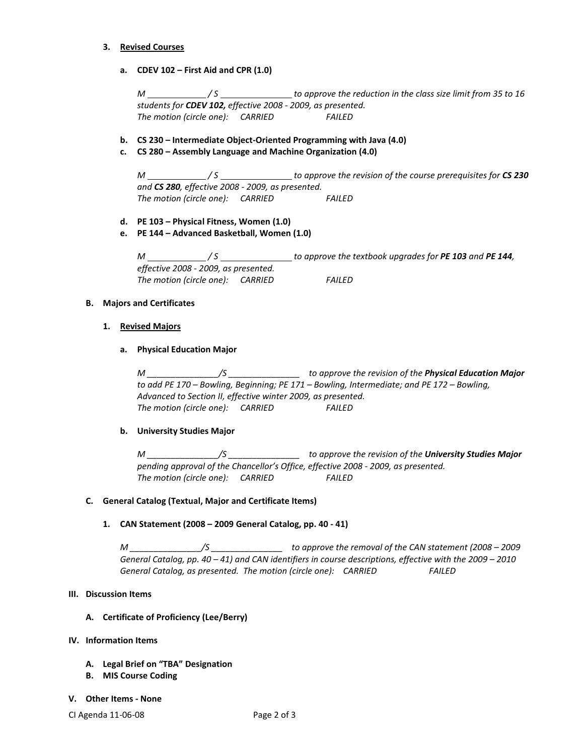#### **3. Revised Courses**

**a. CDEV 102 – First Aid and CPR (1.0)**

*M \_\_\_\_\_\_\_\_\_\_\_\_\_\_/S* \_\_\_\_\_\_\_\_\_\_\_\_\_\_\_\_\_ to approve the reduction in the class size limit from 35 to 16 *students for CDEV 102, effective 2008 - 2009, as presented. The motion (circle one): CARRIED FAILED*

- **b. CS 230 – Intermediate Object-Oriented Programming with Java (4.0)**
- **c. CS 280 – Assembly Language and Machine Organization (4.0)**

*M <i>M /S / S to approve the revision of the course prerequisites for CS 230 and CS 280, effective 2008 - 2009, as presented. The motion (circle one): CARRIED FAILED*

- **d. PE 103 – Physical Fitness, Women (1.0)**
- **e. PE 144 – Advanced Basketball, Women (1.0)**

*M / S to approve the textbook upgrades for PE 103 and PE 144, effective 2008 - 2009, as presented. The motion (circle one): CARRIED FAILED*

## **B. Majors and Certificates**

**1. Revised Majors**

## **a. Physical Education Major**

*M \_\_\_\_\_\_\_\_\_\_\_\_\_\_\_/S \_\_\_\_\_\_\_\_\_\_\_\_\_\_\_ to approve the revision of the Physical Education Major to add PE 170 – Bowling, Beginning; PE 171 – Bowling, Intermediate; and PE 172 – Bowling, Advanced to Section II, effective winter 2009, as presented. The motion (circle one): CARRIED FAILED*

## **b. University Studies Major**

*M \_\_\_\_\_\_\_\_\_\_\_\_\_\_\_/S \_\_\_\_\_\_\_\_\_\_\_\_\_\_\_ to approve the revision of the University Studies Major pending approval of the Chancellor's Office, effective 2008 - 2009, as presented. The motion (circle one): CARRIED FAILED*

## **C. General Catalog (Textual, Major and Certificate Items)**

# **1. CAN Statement (2008 – 2009 General Catalog, pp. 40 - 41)**

*M \_\_\_\_\_\_\_\_\_\_\_\_\_\_\_/S \_\_\_\_\_\_\_\_\_\_\_\_\_\_\_ to approve the removal of the CAN statement (2008 – 2009 General Catalog, pp. 40 – 41) and CAN identifiers in course descriptions, effective with the 2009 – 2010 General Catalog, as presented. The motion (circle one): CARRIED FAILED*

## **III. Discussion Items**

## **A. Certificate of Proficiency (Lee/Berry)**

## **IV. Information Items**

- **A. Legal Brief on "TBA" Designation**
- **B. MIS Course Coding**

#### **V. Other Items - None**